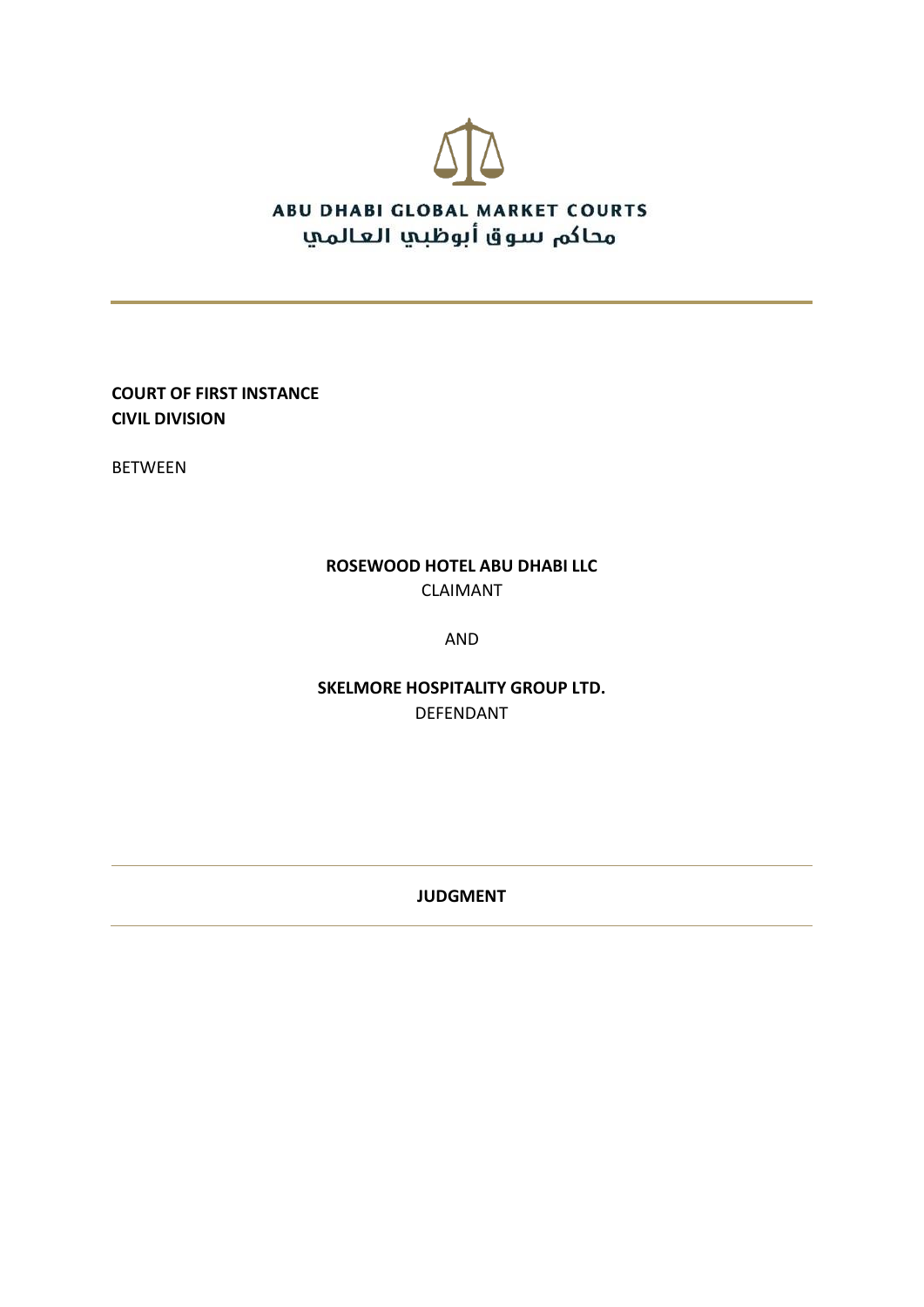

**COURT OF FIRST INSTANCE CIVIL DIVISION**

BETWEEN

### **ROSEWOOD HOTEL ABU DHABI LLC** CLAIMANT

AND

**SKELMORE HOSPITALITY GROUP LTD.** DEFENDANT

**JUDGMENT**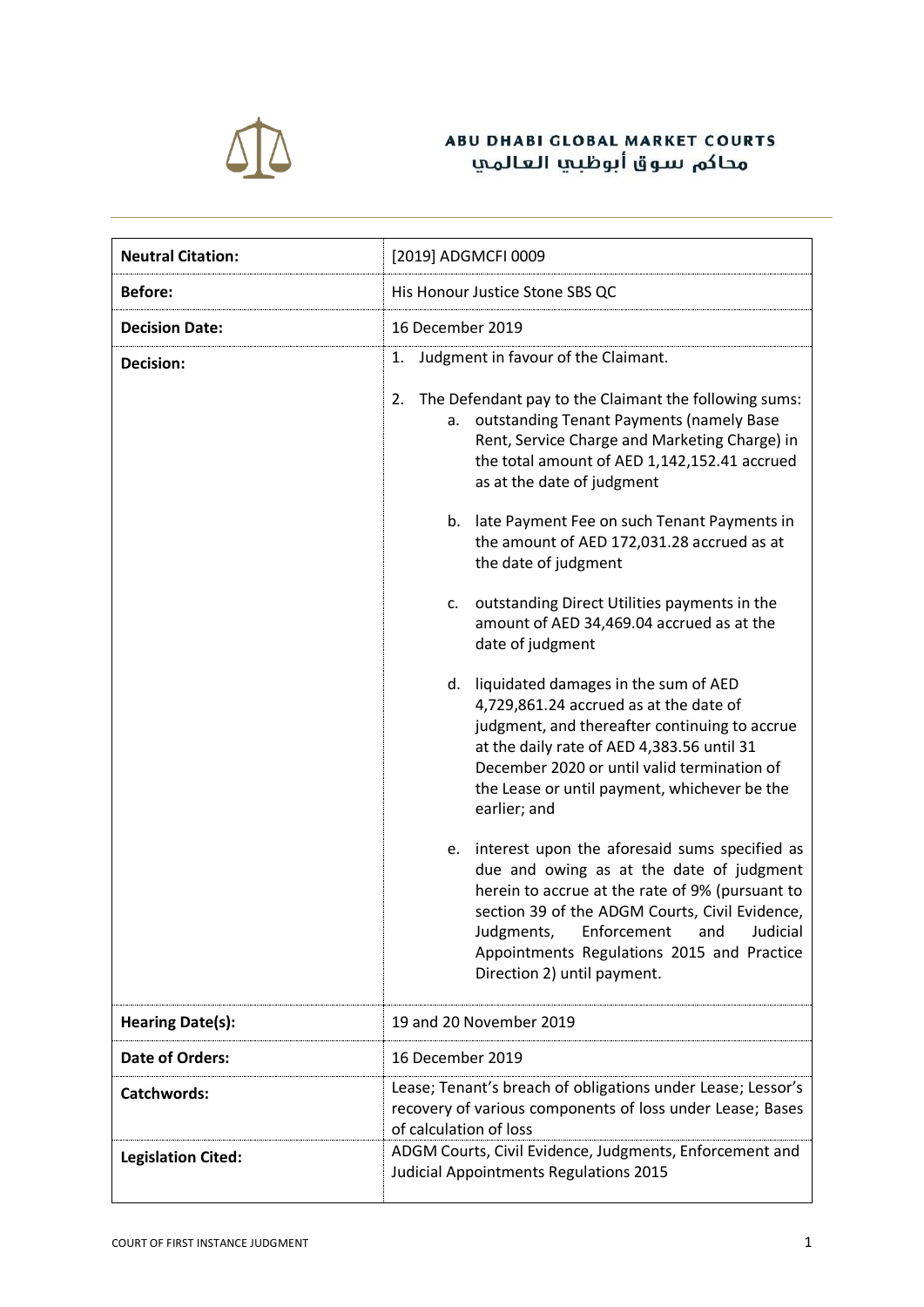

| <b>Neutral Citation:</b>  | [2019] ADGMCFI 0009                                                                                                                                                                                                                                                                                                                                                                                                                                                                                                                                                                                                                                                                                                                                                                                                                                                                                                                                                                                                                                                                                                                                               |
|---------------------------|-------------------------------------------------------------------------------------------------------------------------------------------------------------------------------------------------------------------------------------------------------------------------------------------------------------------------------------------------------------------------------------------------------------------------------------------------------------------------------------------------------------------------------------------------------------------------------------------------------------------------------------------------------------------------------------------------------------------------------------------------------------------------------------------------------------------------------------------------------------------------------------------------------------------------------------------------------------------------------------------------------------------------------------------------------------------------------------------------------------------------------------------------------------------|
| <b>Before:</b>            | His Honour Justice Stone SBS QC                                                                                                                                                                                                                                                                                                                                                                                                                                                                                                                                                                                                                                                                                                                                                                                                                                                                                                                                                                                                                                                                                                                                   |
| <b>Decision Date:</b>     | 16 December 2019                                                                                                                                                                                                                                                                                                                                                                                                                                                                                                                                                                                                                                                                                                                                                                                                                                                                                                                                                                                                                                                                                                                                                  |
| <b>Decision:</b>          | Judgment in favour of the Claimant.<br>1.<br>The Defendant pay to the Claimant the following sums:<br>2.<br>a. outstanding Tenant Payments (namely Base<br>Rent, Service Charge and Marketing Charge) in<br>the total amount of AED 1,142,152.41 accrued<br>as at the date of judgment<br>b. late Payment Fee on such Tenant Payments in<br>the amount of AED 172,031.28 accrued as at<br>the date of judgment<br>outstanding Direct Utilities payments in the<br>c.<br>amount of AED 34,469.04 accrued as at the<br>date of judgment<br>d. liquidated damages in the sum of AED<br>4,729,861.24 accrued as at the date of<br>judgment, and thereafter continuing to accrue<br>at the daily rate of AED 4,383.56 until 31<br>December 2020 or until valid termination of<br>the Lease or until payment, whichever be the<br>earlier; and<br>e. interest upon the aforesaid sums specified as<br>due and owing as at the date of judgment<br>herein to accrue at the rate of 9% (pursuant to<br>section 39 of the ADGM Courts, Civil Evidence,<br>Judgments, Enforcement and Judicial<br>Appointments Regulations 2015 and Practice<br>Direction 2) until payment. |
| <b>Hearing Date(s):</b>   | 19 and 20 November 2019                                                                                                                                                                                                                                                                                                                                                                                                                                                                                                                                                                                                                                                                                                                                                                                                                                                                                                                                                                                                                                                                                                                                           |
| <b>Date of Orders:</b>    | 16 December 2019                                                                                                                                                                                                                                                                                                                                                                                                                                                                                                                                                                                                                                                                                                                                                                                                                                                                                                                                                                                                                                                                                                                                                  |
| <b>Catchwords:</b>        | Lease; Tenant's breach of obligations under Lease; Lessor's<br>recovery of various components of loss under Lease; Bases<br>of calculation of loss                                                                                                                                                                                                                                                                                                                                                                                                                                                                                                                                                                                                                                                                                                                                                                                                                                                                                                                                                                                                                |
| <b>Legislation Cited:</b> | ADGM Courts, Civil Evidence, Judgments, Enforcement and<br>Judicial Appointments Regulations 2015                                                                                                                                                                                                                                                                                                                                                                                                                                                                                                                                                                                                                                                                                                                                                                                                                                                                                                                                                                                                                                                                 |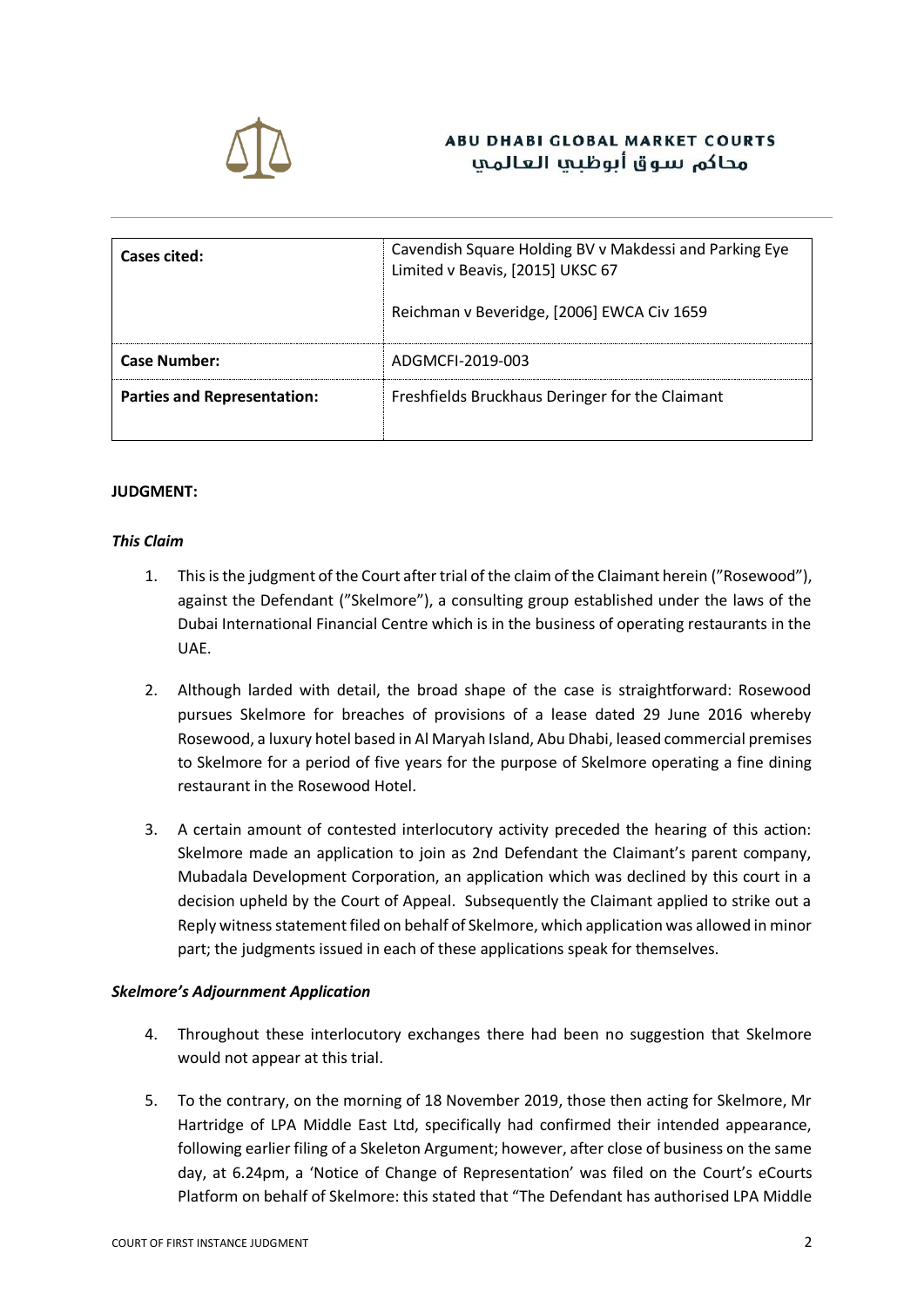

## **ABU DHABI GLOBAL MARKET COURTS** محاكم ببيوق أيوظيها العالمها

| Cases cited:                       | Cavendish Square Holding BV v Makdessi and Parking Eye<br>Limited v Beavis, [2015] UKSC 67 |
|------------------------------------|--------------------------------------------------------------------------------------------|
|                                    | Reichman v Beveridge, [2006] EWCA Civ 1659                                                 |
| <b>Case Number:</b>                | ADGMCFI-2019-003                                                                           |
| <b>Parties and Representation:</b> | Freshfields Bruckhaus Deringer for the Claimant                                            |

#### **JUDGMENT:**

#### *This Claim*

- 1. This is the judgment of the Court after trial of the claim of the Claimant herein ("Rosewood"), against the Defendant ("Skelmore"), a consulting group established under the laws of the Dubai International Financial Centre which is in the business of operating restaurants in the UAE.
- 2. Although larded with detail, the broad shape of the case is straightforward: Rosewood pursues Skelmore for breaches of provisions of a lease dated 29 June 2016 whereby Rosewood, a luxury hotel based in Al Maryah Island, Abu Dhabi, leased commercial premises to Skelmore for a period of five years for the purpose of Skelmore operating a fine dining restaurant in the Rosewood Hotel.
- 3. A certain amount of contested interlocutory activity preceded the hearing of this action: Skelmore made an application to join as 2nd Defendant the Claimant's parent company, Mubadala Development Corporation, an application which was declined by this court in a decision upheld by the Court of Appeal. Subsequently the Claimant applied to strike out a Reply witness statement filed on behalf of Skelmore, which application was allowed in minor part; the judgments issued in each of these applications speak for themselves.

#### *Skelmore's Adjournment Application*

- 4. Throughout these interlocutory exchanges there had been no suggestion that Skelmore would not appear at this trial.
- 5. To the contrary, on the morning of 18 November 2019, those then acting for Skelmore, Mr Hartridge of LPA Middle East Ltd, specifically had confirmed their intended appearance, following earlier filing of a Skeleton Argument; however, after close of business on the same day, at 6.24pm, a 'Notice of Change of Representation' was filed on the Court's eCourts Platform on behalf of Skelmore: this stated that "The Defendant has authorised LPA Middle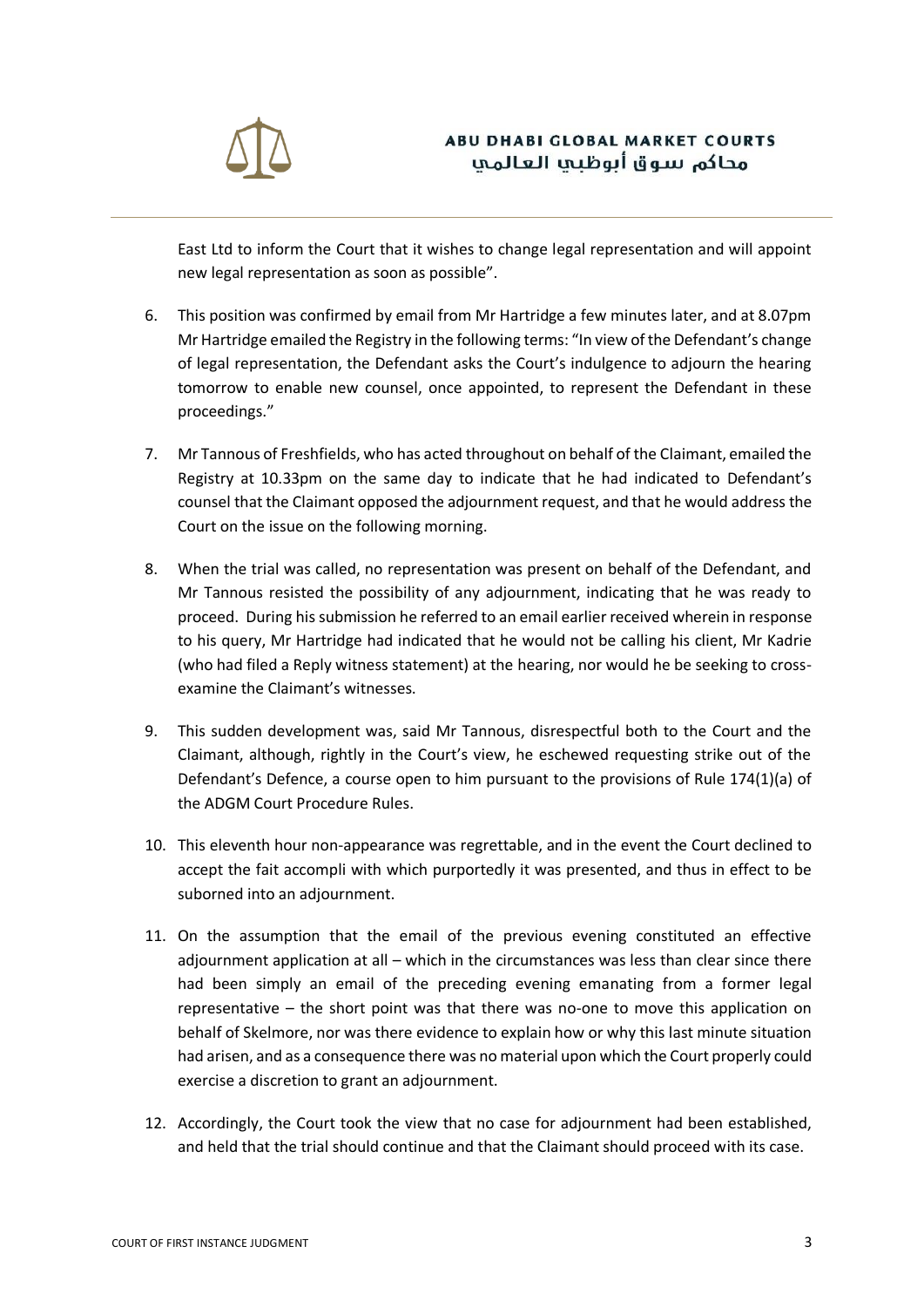

East Ltd to inform the Court that it wishes to change legal representation and will appoint new legal representation as soon as possible".

- 6. This position was confirmed by email from Mr Hartridge a few minutes later, and at 8.07pm Mr Hartridge emailed the Registry in the following terms: "In view of the Defendant's change of legal representation, the Defendant asks the Court's indulgence to adjourn the hearing tomorrow to enable new counsel, once appointed, to represent the Defendant in these proceedings."
- 7. Mr Tannous of Freshfields, who has acted throughout on behalf of the Claimant, emailed the Registry at 10.33pm on the same day to indicate that he had indicated to Defendant's counsel that the Claimant opposed the adjournment request, and that he would address the Court on the issue on the following morning.
- 8. When the trial was called, no representation was present on behalf of the Defendant, and Mr Tannous resisted the possibility of any adjournment, indicating that he was ready to proceed. During his submission he referred to an email earlier received wherein in response to his query, Mr Hartridge had indicated that he would not be calling his client, Mr Kadrie (who had filed a Reply witness statement) at the hearing, nor would he be seeking to crossexamine the Claimant's witnesses.
- 9. This sudden development was, said Mr Tannous, disrespectful both to the Court and the Claimant, although, rightly in the Court's view, he eschewed requesting strike out of the Defendant's Defence, a course open to him pursuant to the provisions of Rule 174(1)(a) of the ADGM Court Procedure Rules.
- 10. This eleventh hour non-appearance was regrettable, and in the event the Court declined to accept the fait accompli with which purportedly it was presented, and thus in effect to be suborned into an adjournment.
- 11. On the assumption that the email of the previous evening constituted an effective adjournment application at all – which in the circumstances was less than clear since there had been simply an email of the preceding evening emanating from a former legal representative – the short point was that there was no-one to move this application on behalf of Skelmore, nor was there evidence to explain how or why this last minute situation had arisen, and as a consequence there was no material upon which the Court properly could exercise a discretion to grant an adjournment.
- 12. Accordingly, the Court took the view that no case for adjournment had been established, and held that the trial should continue and that the Claimant should proceed with its case.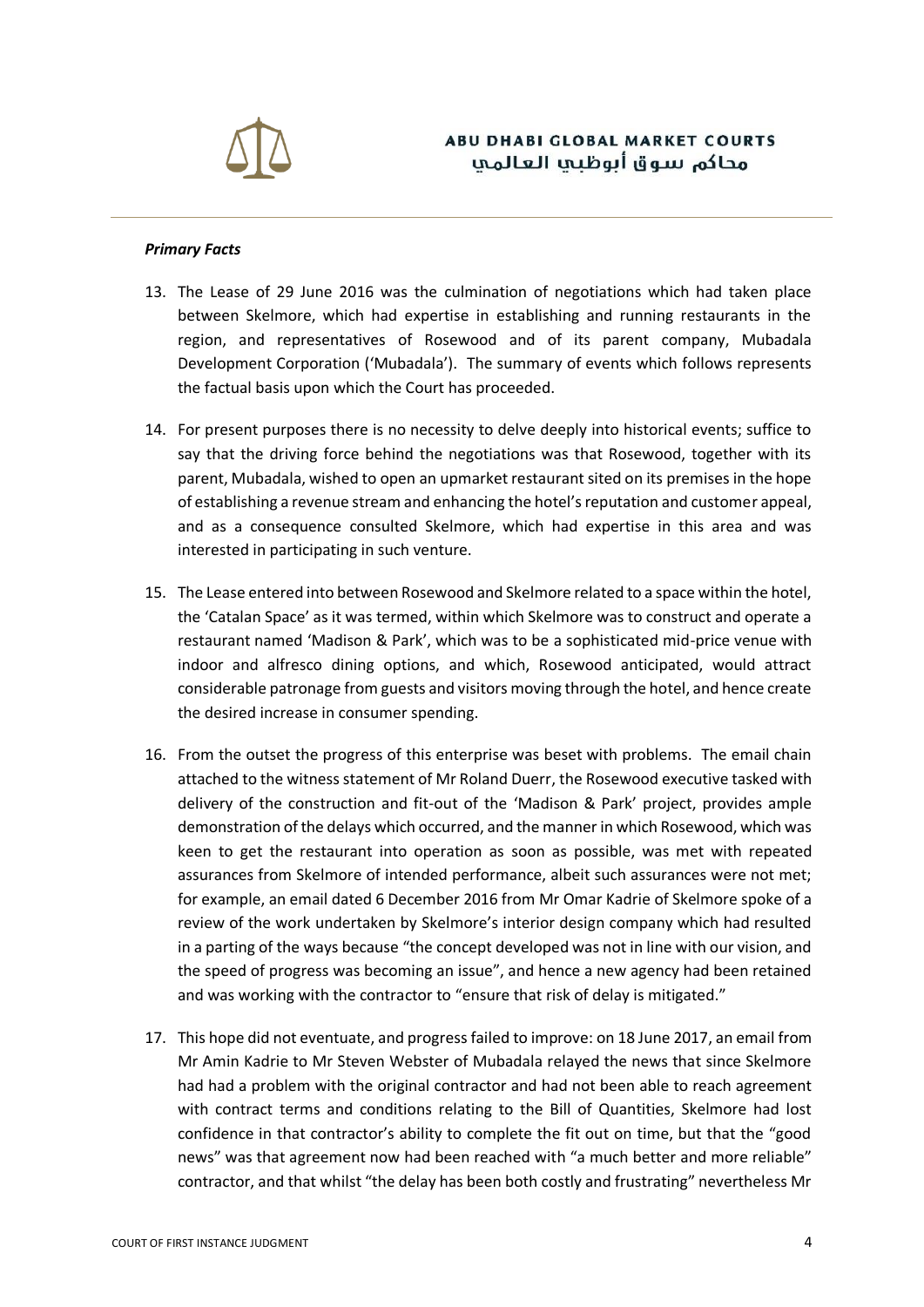

#### *Primary Facts*

- 13. The Lease of 29 June 2016 was the culmination of negotiations which had taken place between Skelmore, which had expertise in establishing and running restaurants in the region, and representatives of Rosewood and of its parent company, Mubadala Development Corporation ('Mubadala'). The summary of events which follows represents the factual basis upon which the Court has proceeded.
- 14. For present purposes there is no necessity to delve deeply into historical events; suffice to say that the driving force behind the negotiations was that Rosewood, together with its parent, Mubadala, wished to open an upmarket restaurant sited on its premises in the hope of establishing a revenue stream and enhancing the hotel's reputation and customer appeal, and as a consequence consulted Skelmore, which had expertise in this area and was interested in participating in such venture.
- 15. The Lease entered into between Rosewood and Skelmore related to a space within the hotel, the 'Catalan Space' as it was termed, within which Skelmore was to construct and operate a restaurant named 'Madison & Park', which was to be a sophisticated mid-price venue with indoor and alfresco dining options, and which, Rosewood anticipated, would attract considerable patronage from guests and visitors moving through the hotel, and hence create the desired increase in consumer spending.
- 16. From the outset the progress of this enterprise was beset with problems. The email chain attached to the witness statement of Mr Roland Duerr, the Rosewood executive tasked with delivery of the construction and fit-out of the 'Madison & Park' project, provides ample demonstration of the delays which occurred, and the manner in which Rosewood, which was keen to get the restaurant into operation as soon as possible, was met with repeated assurances from Skelmore of intended performance, albeit such assurances were not met; for example, an email dated 6 December 2016 from Mr Omar Kadrie of Skelmore spoke of a review of the work undertaken by Skelmore's interior design company which had resulted in a parting of the ways because "the concept developed was not in line with our vision, and the speed of progress was becoming an issue", and hence a new agency had been retained and was working with the contractor to "ensure that risk of delay is mitigated."
- 17. This hope did not eventuate, and progress failed to improve: on 18 June 2017, an email from Mr Amin Kadrie to Mr Steven Webster of Mubadala relayed the news that since Skelmore had had a problem with the original contractor and had not been able to reach agreement with contract terms and conditions relating to the Bill of Quantities, Skelmore had lost confidence in that contractor's ability to complete the fit out on time, but that the "good news" was that agreement now had been reached with "a much better and more reliable" contractor, and that whilst "the delay has been both costly and frustrating" nevertheless Mr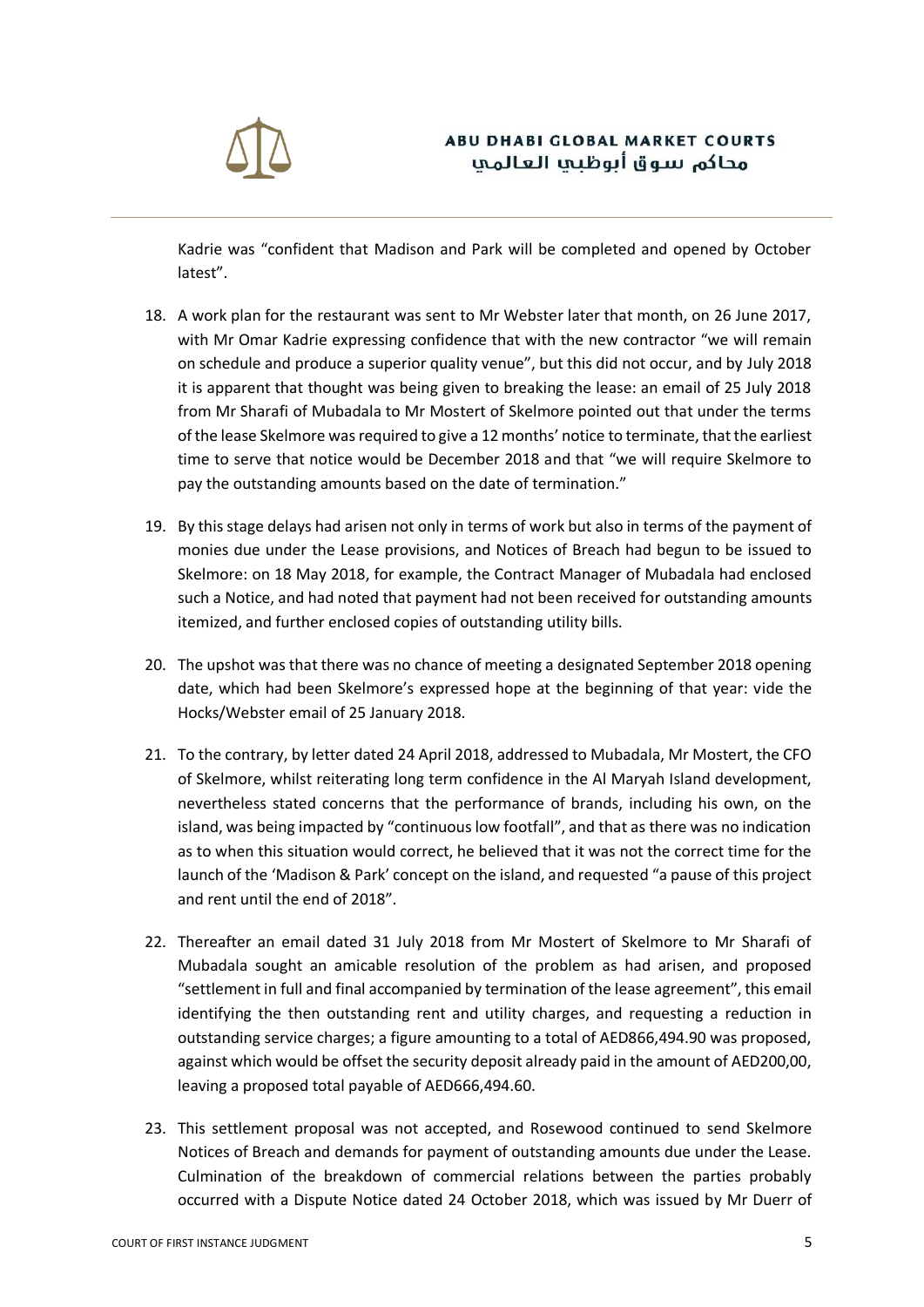

Kadrie was "confident that Madison and Park will be completed and opened by October latest".

- 18. A work plan for the restaurant was sent to Mr Webster later that month, on 26 June 2017, with Mr Omar Kadrie expressing confidence that with the new contractor "we will remain on schedule and produce a superior quality venue", but this did not occur, and by July 2018 it is apparent that thought was being given to breaking the lease: an email of 25 July 2018 from Mr Sharafi of Mubadala to Mr Mostert of Skelmore pointed out that under the terms of the lease Skelmore was required to give a 12 months' notice to terminate, that the earliest time to serve that notice would be December 2018 and that "we will require Skelmore to pay the outstanding amounts based on the date of termination."
- 19. By this stage delays had arisen not only in terms of work but also in terms of the payment of monies due under the Lease provisions, and Notices of Breach had begun to be issued to Skelmore: on 18 May 2018, for example, the Contract Manager of Mubadala had enclosed such a Notice, and had noted that payment had not been received for outstanding amounts itemized, and further enclosed copies of outstanding utility bills.
- 20. The upshot was that there was no chance of meeting a designated September 2018 opening date, which had been Skelmore's expressed hope at the beginning of that year: vide the Hocks/Webster email of 25 January 2018.
- 21. To the contrary, by letter dated 24 April 2018, addressed to Mubadala, Mr Mostert, the CFO of Skelmore, whilst reiterating long term confidence in the Al Maryah Island development, nevertheless stated concerns that the performance of brands, including his own, on the island, was being impacted by "continuous low footfall", and that as there was no indication as to when this situation would correct, he believed that it was not the correct time for the launch of the 'Madison & Park' concept on the island, and requested "a pause of this project and rent until the end of 2018".
- 22. Thereafter an email dated 31 July 2018 from Mr Mostert of Skelmore to Mr Sharafi of Mubadala sought an amicable resolution of the problem as had arisen, and proposed "settlement in full and final accompanied by termination of the lease agreement", this email identifying the then outstanding rent and utility charges, and requesting a reduction in outstanding service charges; a figure amounting to a total of AED866,494.90 was proposed, against which would be offset the security deposit already paid in the amount of AED200,00, leaving a proposed total payable of AED666,494.60.
- 23. This settlement proposal was not accepted, and Rosewood continued to send Skelmore Notices of Breach and demands for payment of outstanding amounts due under the Lease. Culmination of the breakdown of commercial relations between the parties probably occurred with a Dispute Notice dated 24 October 2018, which was issued by Mr Duerr of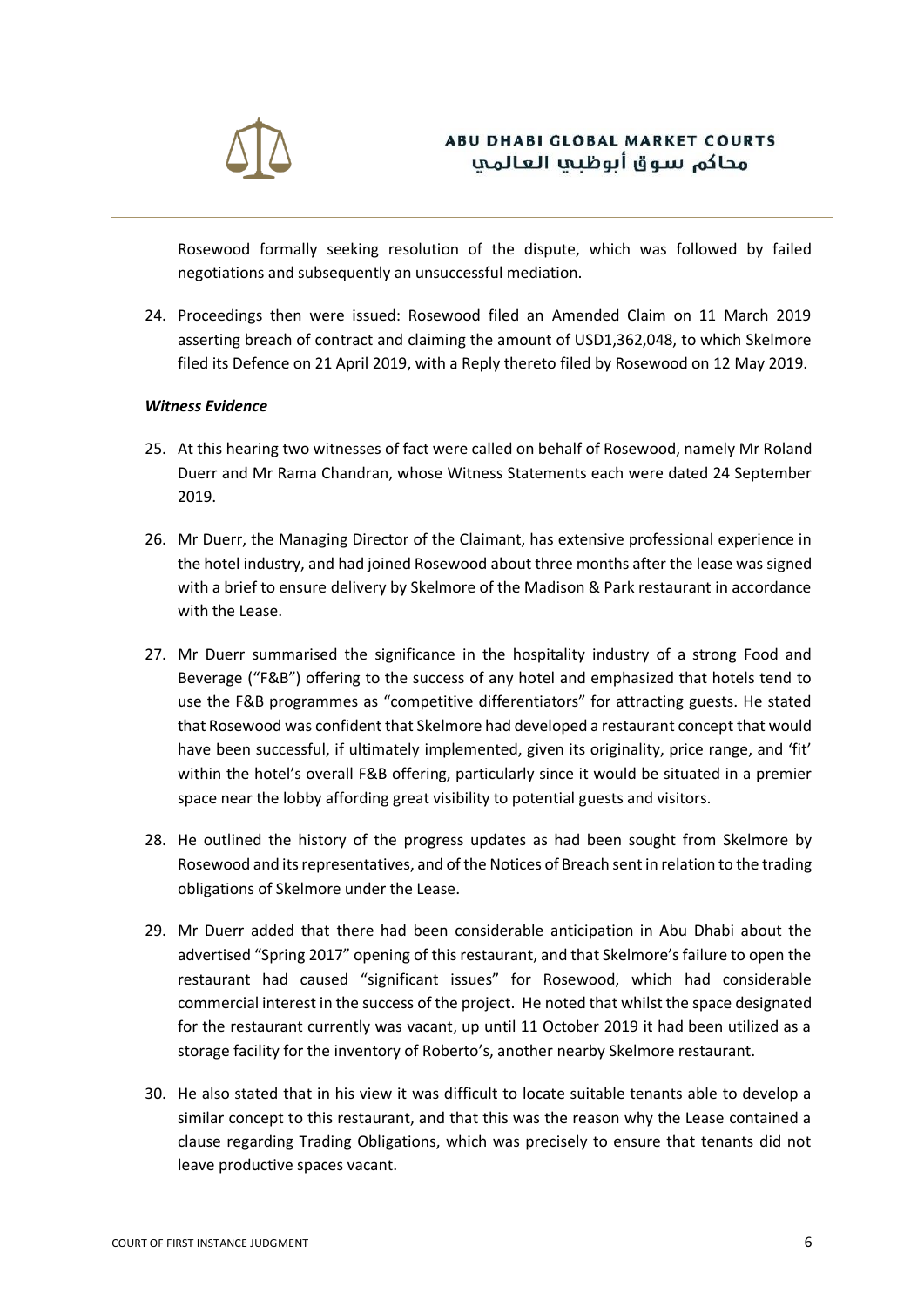

Rosewood formally seeking resolution of the dispute, which was followed by failed negotiations and subsequently an unsuccessful mediation.

24. Proceedings then were issued: Rosewood filed an Amended Claim on 11 March 2019 asserting breach of contract and claiming the amount of USD1,362,048, to which Skelmore filed its Defence on 21 April 2019, with a Reply thereto filed by Rosewood on 12 May 2019.

#### *Witness Evidence*

- 25. At this hearing two witnesses of fact were called on behalf of Rosewood, namely Mr Roland Duerr and Mr Rama Chandran, whose Witness Statements each were dated 24 September 2019.
- 26. Mr Duerr, the Managing Director of the Claimant, has extensive professional experience in the hotel industry, and had joined Rosewood about three months after the lease was signed with a brief to ensure delivery by Skelmore of the Madison & Park restaurant in accordance with the Lease.
- 27. Mr Duerr summarised the significance in the hospitality industry of a strong Food and Beverage ("F&B") offering to the success of any hotel and emphasized that hotels tend to use the F&B programmes as "competitive differentiators" for attracting guests. He stated that Rosewood was confident that Skelmore had developed a restaurant concept that would have been successful, if ultimately implemented, given its originality, price range, and 'fit' within the hotel's overall F&B offering, particularly since it would be situated in a premier space near the lobby affording great visibility to potential guests and visitors.
- 28. He outlined the history of the progress updates as had been sought from Skelmore by Rosewood and its representatives, and of the Notices of Breach sent in relation to the trading obligations of Skelmore under the Lease.
- 29. Mr Duerr added that there had been considerable anticipation in Abu Dhabi about the advertised "Spring 2017" opening of this restaurant, and that Skelmore's failure to open the restaurant had caused "significant issues" for Rosewood, which had considerable commercial interest in the success of the project. He noted that whilst the space designated for the restaurant currently was vacant, up until 11 October 2019 it had been utilized as a storage facility for the inventory of Roberto's, another nearby Skelmore restaurant.
- 30. He also stated that in his view it was difficult to locate suitable tenants able to develop a similar concept to this restaurant, and that this was the reason why the Lease contained a clause regarding Trading Obligations, which was precisely to ensure that tenants did not leave productive spaces vacant.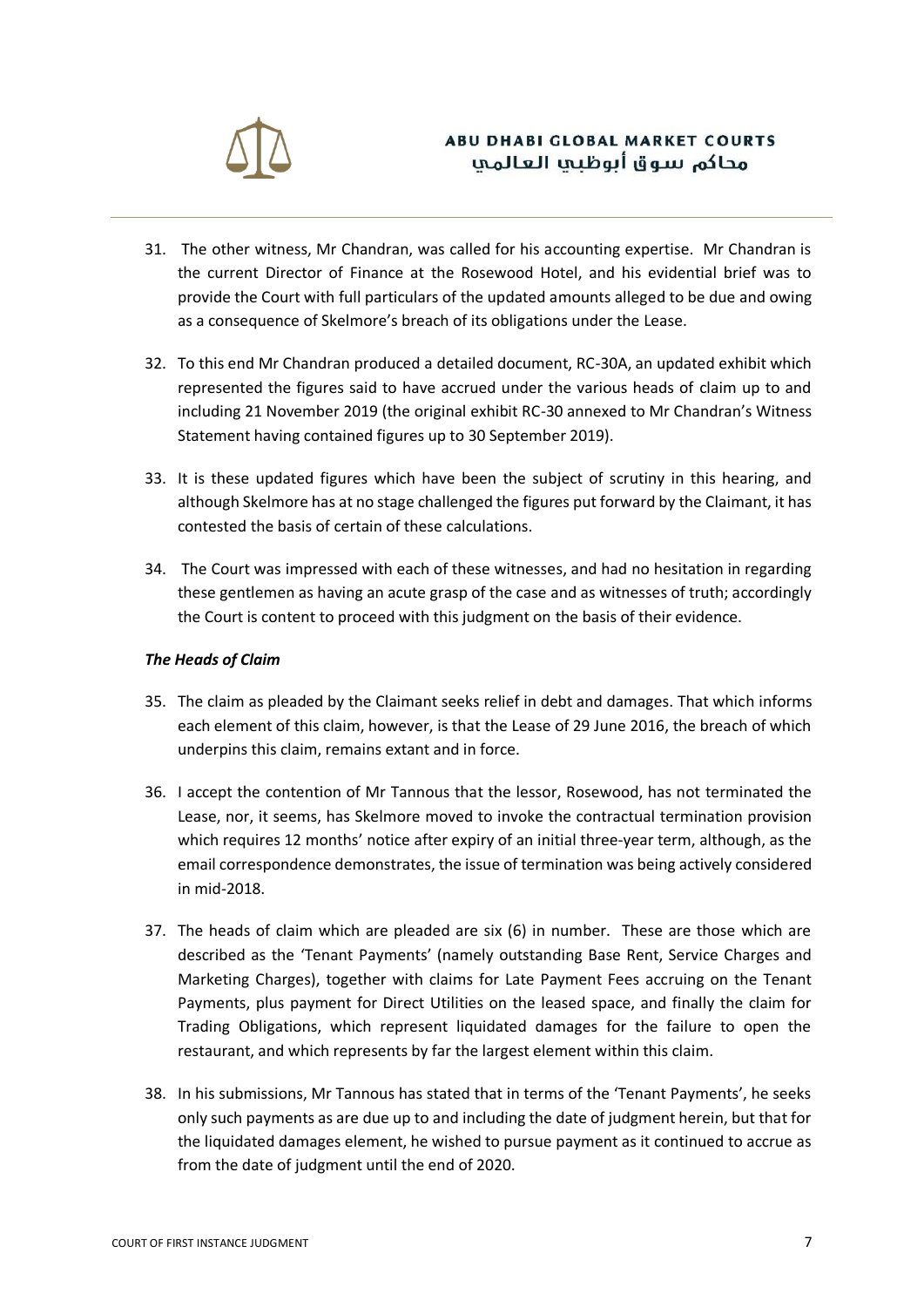

- 31. The other witness, Mr Chandran, was called for his accounting expertise. Mr Chandran is the current Director of Finance at the Rosewood Hotel, and his evidential brief was to provide the Court with full particulars of the updated amounts alleged to be due and owing as a consequence of Skelmore's breach of its obligations under the Lease.
- 32. To this end Mr Chandran produced a detailed document, RC-30A, an updated exhibit which represented the figures said to have accrued under the various heads of claim up to and including 21 November 2019 (the original exhibit RC-30 annexed to Mr Chandran's Witness Statement having contained figures up to 30 September 2019).
- 33. It is these updated figures which have been the subject of scrutiny in this hearing, and although Skelmore has at no stage challenged the figures put forward by the Claimant, it has contested the basis of certain of these calculations.
- 34. The Court was impressed with each of these witnesses, and had no hesitation in regarding these gentlemen as having an acute grasp of the case and as witnesses of truth; accordingly the Court is content to proceed with this judgment on the basis of their evidence.

### *The Heads of Claim*

- 35. The claim as pleaded by the Claimant seeks relief in debt and damages. That which informs each element of this claim, however, is that the Lease of 29 June 2016, the breach of which underpins this claim, remains extant and in force.
- 36. I accept the contention of Mr Tannous that the lessor, Rosewood, has not terminated the Lease, nor, it seems, has Skelmore moved to invoke the contractual termination provision which requires 12 months' notice after expiry of an initial three-year term, although, as the email correspondence demonstrates, the issue of termination was being actively considered in mid-2018.
- 37. The heads of claim which are pleaded are six (6) in number. These are those which are described as the 'Tenant Payments' (namely outstanding Base Rent, Service Charges and Marketing Charges), together with claims for Late Payment Fees accruing on the Tenant Payments, plus payment for Direct Utilities on the leased space, and finally the claim for Trading Obligations, which represent liquidated damages for the failure to open the restaurant, and which represents by far the largest element within this claim.
- 38. In his submissions, Mr Tannous has stated that in terms of the 'Tenant Payments', he seeks only such payments as are due up to and including the date of judgment herein, but that for the liquidated damages element, he wished to pursue payment as it continued to accrue as from the date of judgment until the end of 2020.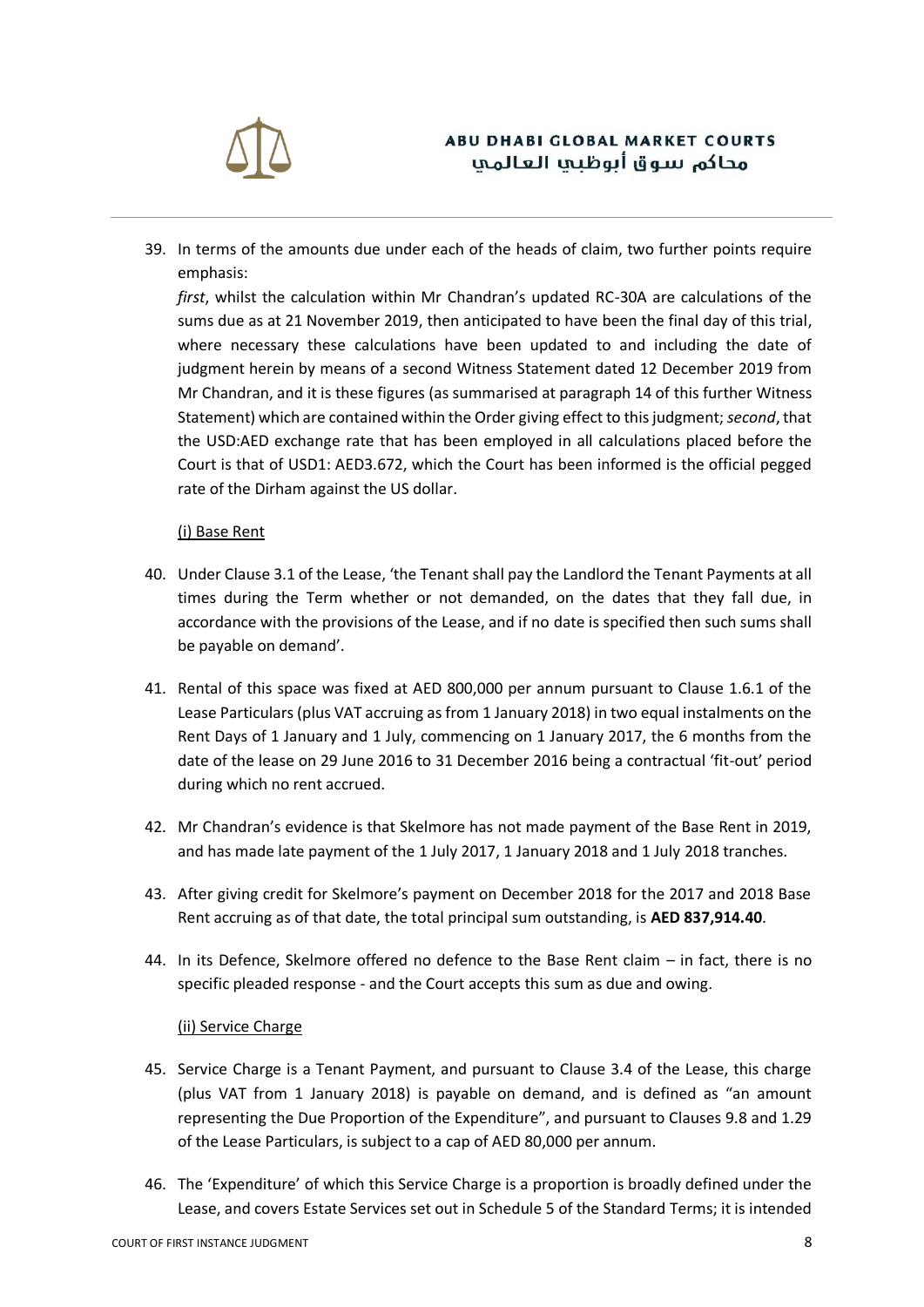

39. In terms of the amounts due under each of the heads of claim, two further points require emphasis:

*first*, whilst the calculation within Mr Chandran's updated RC-30A are calculations of the sums due as at 21 November 2019, then anticipated to have been the final day of this trial, where necessary these calculations have been updated to and including the date of judgment herein by means of a second Witness Statement dated 12 December 2019 from Mr Chandran, and it is these figures (as summarised at paragraph 14 of this further Witness Statement) which are contained within the Order giving effect to this judgment; *second*, that the USD:AED exchange rate that has been employed in all calculations placed before the Court is that of USD1: AED3.672, which the Court has been informed is the official pegged rate of the Dirham against the US dollar.

#### (i) Base Rent

- 40. Under Clause 3.1 of the Lease, 'the Tenant shall pay the Landlord the Tenant Payments at all times during the Term whether or not demanded, on the dates that they fall due, in accordance with the provisions of the Lease, and if no date is specified then such sums shall be payable on demand'.
- 41. Rental of this space was fixed at AED 800,000 per annum pursuant to Clause 1.6.1 of the Lease Particulars (plus VAT accruing as from 1 January 2018) in two equal instalments on the Rent Days of 1 January and 1 July, commencing on 1 January 2017, the 6 months from the date of the lease on 29 June 2016 to 31 December 2016 being a contractual 'fit-out' period during which no rent accrued.
- 42. Mr Chandran's evidence is that Skelmore has not made payment of the Base Rent in 2019, and has made late payment of the 1 July 2017, 1 January 2018 and 1 July 2018 tranches.
- 43. After giving credit for Skelmore's payment on December 2018 for the 2017 and 2018 Base Rent accruing as of that date, the total principal sum outstanding, is **AED 837,914.40**.
- 44. In its Defence, Skelmore offered no defence to the Base Rent claim in fact, there is no specific pleaded response - and the Court accepts this sum as due and owing.

#### (ii) Service Charge

- 45. Service Charge is a Tenant Payment, and pursuant to Clause 3.4 of the Lease, this charge (plus VAT from 1 January 2018) is payable on demand, and is defined as "an amount representing the Due Proportion of the Expenditure", and pursuant to Clauses 9.8 and 1.29 of the Lease Particulars, is subject to a cap of AED 80,000 per annum.
- 46. The 'Expenditure' of which this Service Charge is a proportion is broadly defined under the Lease, and covers Estate Services set out in Schedule 5 of the Standard Terms; it is intended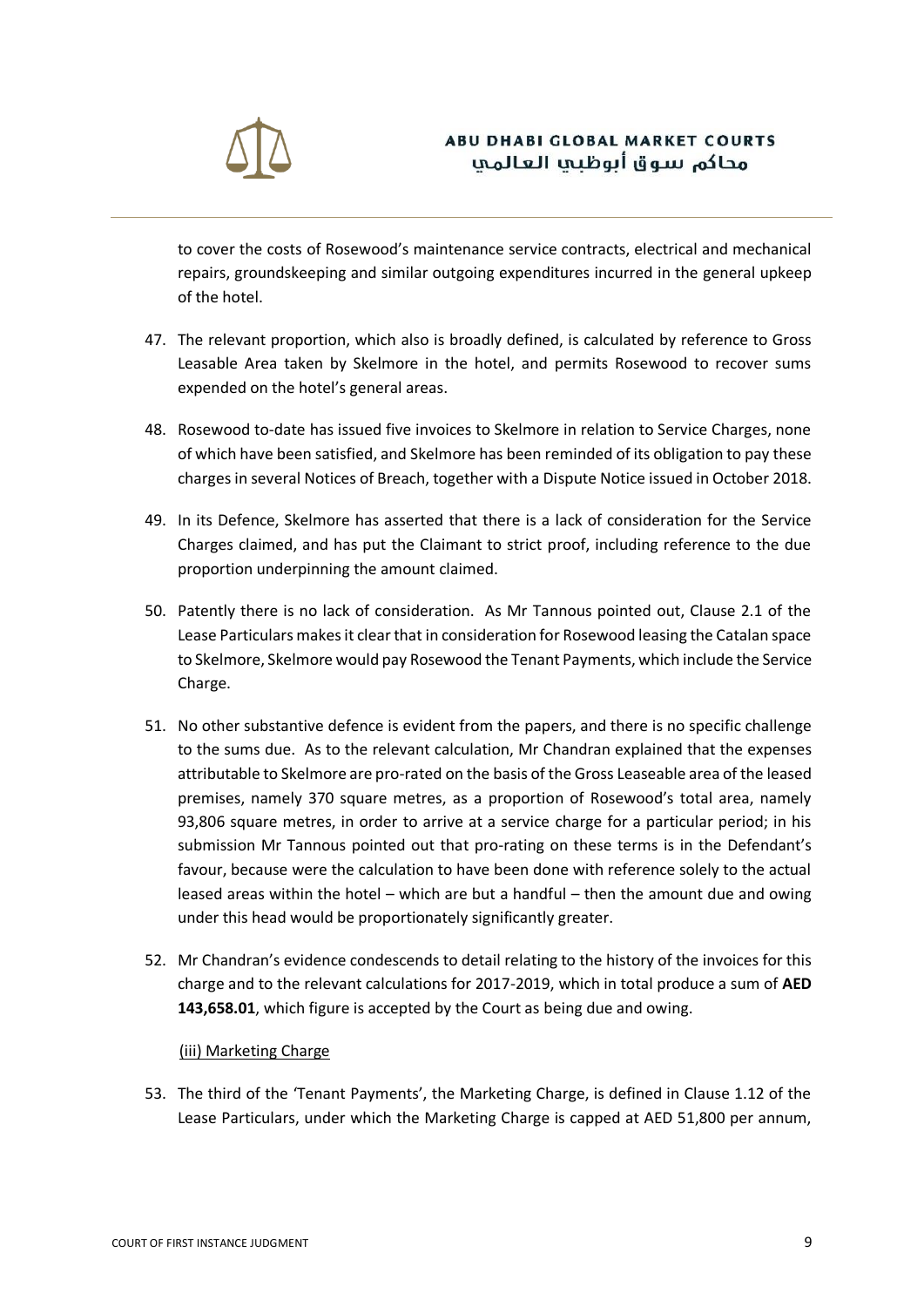

to cover the costs of Rosewood's maintenance service contracts, electrical and mechanical repairs, groundskeeping and similar outgoing expenditures incurred in the general upkeep of the hotel.

- 47. The relevant proportion, which also is broadly defined, is calculated by reference to Gross Leasable Area taken by Skelmore in the hotel, and permits Rosewood to recover sums expended on the hotel's general areas.
- 48. Rosewood to-date has issued five invoices to Skelmore in relation to Service Charges, none of which have been satisfied, and Skelmore has been reminded of its obligation to pay these charges in several Notices of Breach, together with a Dispute Notice issued in October 2018.
- 49. In its Defence, Skelmore has asserted that there is a lack of consideration for the Service Charges claimed, and has put the Claimant to strict proof, including reference to the due proportion underpinning the amount claimed.
- 50. Patently there is no lack of consideration. As Mr Tannous pointed out, Clause 2.1 of the Lease Particulars makes it clear that in consideration for Rosewood leasing the Catalan space to Skelmore, Skelmore would pay Rosewood the Tenant Payments, which include the Service Charge.
- 51. No other substantive defence is evident from the papers, and there is no specific challenge to the sums due. As to the relevant calculation, Mr Chandran explained that the expenses attributable to Skelmore are pro-rated on the basis of the Gross Leaseable area of the leased premises, namely 370 square metres, as a proportion of Rosewood's total area, namely 93,806 square metres, in order to arrive at a service charge for a particular period; in his submission Mr Tannous pointed out that pro-rating on these terms is in the Defendant's favour, because were the calculation to have been done with reference solely to the actual leased areas within the hotel – which are but a handful – then the amount due and owing under this head would be proportionately significantly greater.
- 52. Mr Chandran's evidence condescends to detail relating to the history of the invoices for this charge and to the relevant calculations for 2017-2019, which in total produce a sum of **AED 143,658.01**, which figure is accepted by the Court as being due and owing.

### (iii) Marketing Charge

53. The third of the 'Tenant Payments', the Marketing Charge, is defined in Clause 1.12 of the Lease Particulars, under which the Marketing Charge is capped at AED 51,800 per annum,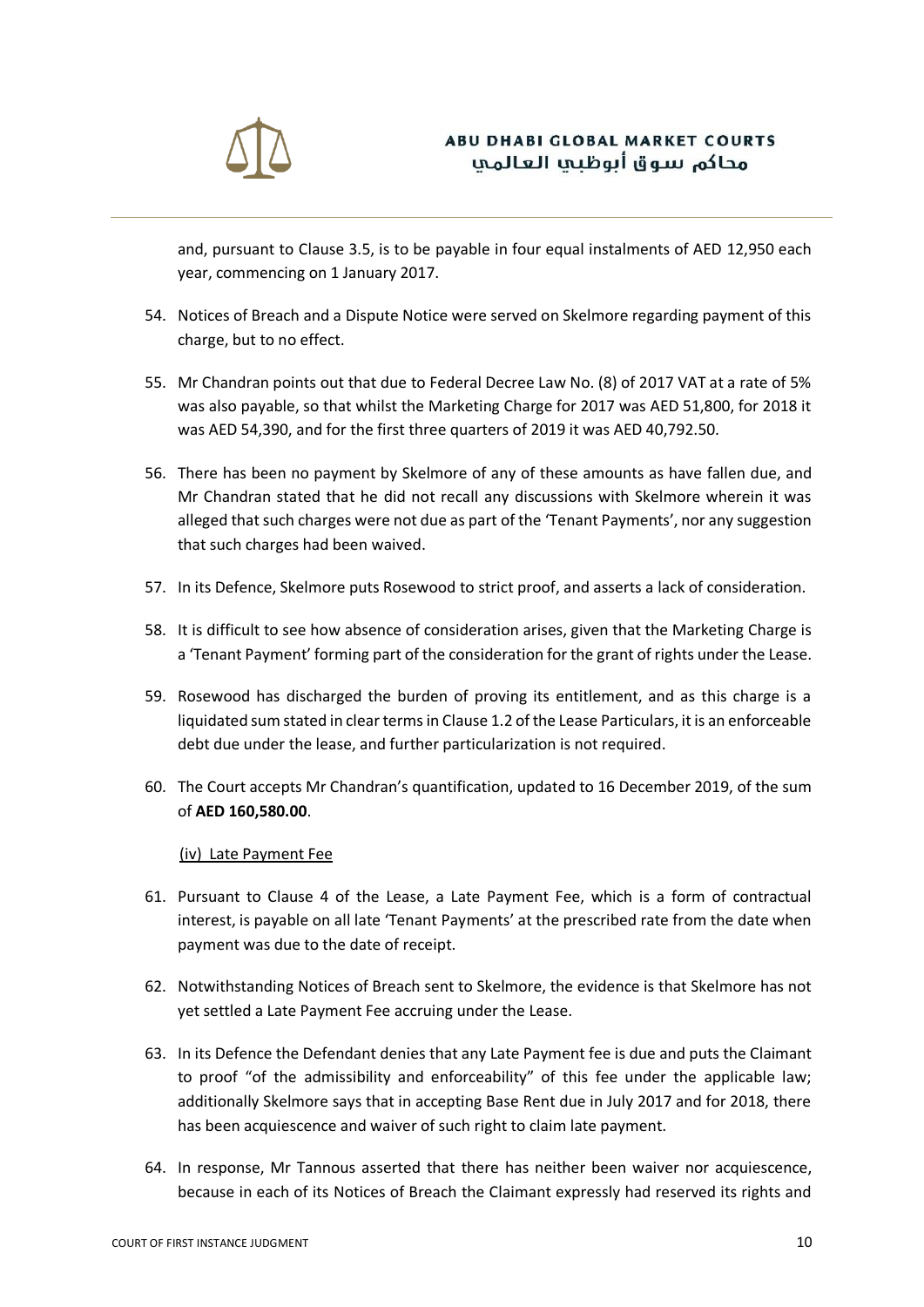

and, pursuant to Clause 3.5, is to be payable in four equal instalments of AED 12,950 each year, commencing on 1 January 2017.

- 54. Notices of Breach and a Dispute Notice were served on Skelmore regarding payment of this charge, but to no effect.
- 55. Mr Chandran points out that due to Federal Decree Law No. (8) of 2017 VAT at a rate of 5% was also payable, so that whilst the Marketing Charge for 2017 was AED 51,800, for 2018 it was AED 54,390, and for the first three quarters of 2019 it was AED 40,792.50.
- 56. There has been no payment by Skelmore of any of these amounts as have fallen due, and Mr Chandran stated that he did not recall any discussions with Skelmore wherein it was alleged that such charges were not due as part of the 'Tenant Payments', nor any suggestion that such charges had been waived.
- 57. In its Defence, Skelmore puts Rosewood to strict proof, and asserts a lack of consideration.
- 58. It is difficult to see how absence of consideration arises, given that the Marketing Charge is a 'Tenant Payment' forming part of the consideration for the grant of rights under the Lease.
- 59. Rosewood has discharged the burden of proving its entitlement, and as this charge is a liquidated sum stated in clear terms in Clause 1.2 of the Lease Particulars, it is an enforceable debt due under the lease, and further particularization is not required.
- 60. The Court accepts Mr Chandran's quantification, updated to 16 December 2019, of the sum of **AED 160,580.00**.

#### (iv) Late Payment Fee

- 61. Pursuant to Clause 4 of the Lease, a Late Payment Fee, which is a form of contractual interest, is payable on all late 'Tenant Payments' at the prescribed rate from the date when payment was due to the date of receipt.
- 62. Notwithstanding Notices of Breach sent to Skelmore, the evidence is that Skelmore has not yet settled a Late Payment Fee accruing under the Lease.
- 63. In its Defence the Defendant denies that any Late Payment fee is due and puts the Claimant to proof "of the admissibility and enforceability" of this fee under the applicable law; additionally Skelmore says that in accepting Base Rent due in July 2017 and for 2018, there has been acquiescence and waiver of such right to claim late payment.
- 64. In response, Mr Tannous asserted that there has neither been waiver nor acquiescence, because in each of its Notices of Breach the Claimant expressly had reserved its rights and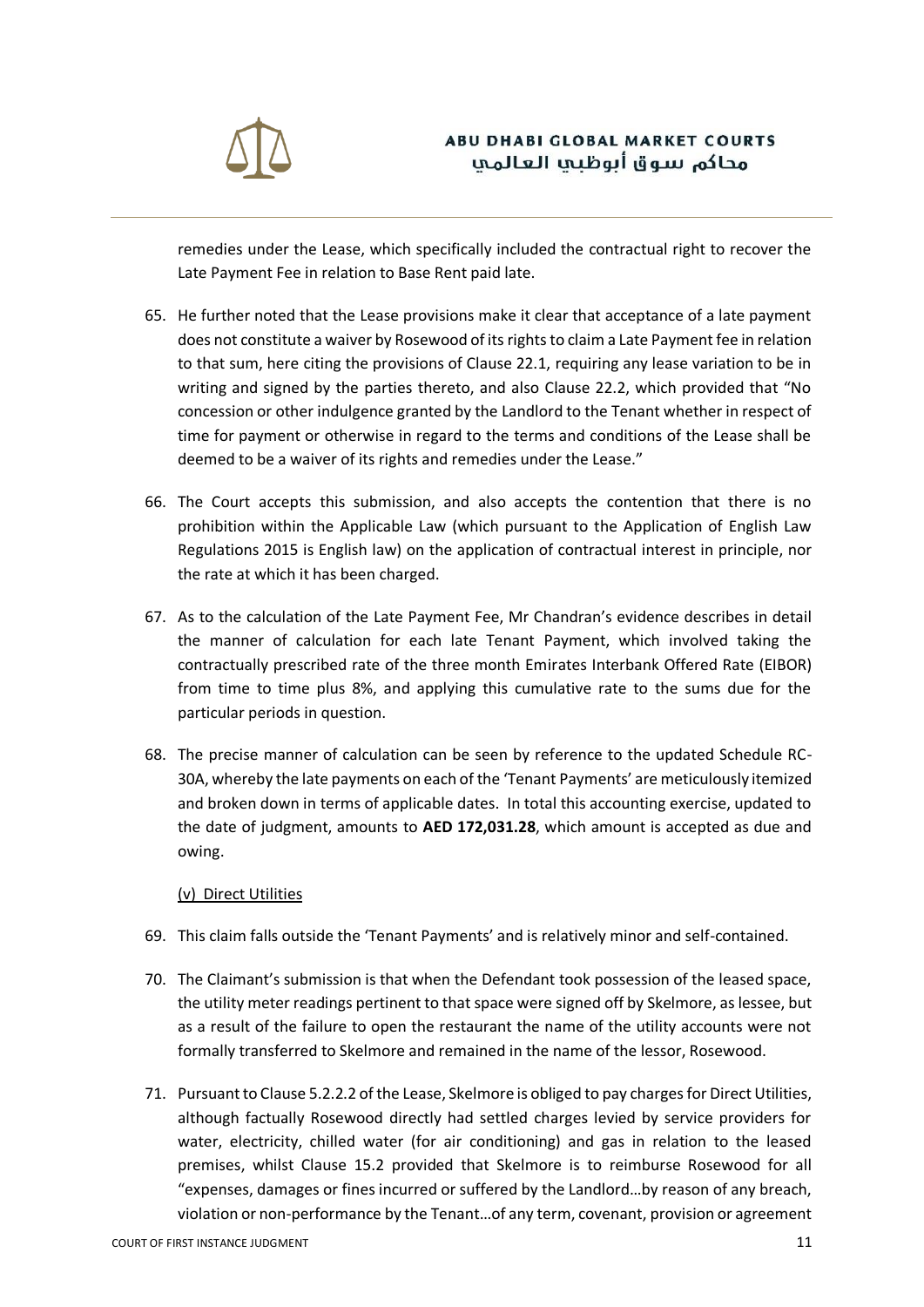

remedies under the Lease, which specifically included the contractual right to recover the Late Payment Fee in relation to Base Rent paid late.

- 65. He further noted that the Lease provisions make it clear that acceptance of a late payment does not constitute a waiver by Rosewood of its rights to claim a Late Payment fee in relation to that sum, here citing the provisions of Clause 22.1, requiring any lease variation to be in writing and signed by the parties thereto, and also Clause 22.2, which provided that "No concession or other indulgence granted by the Landlord to the Tenant whether in respect of time for payment or otherwise in regard to the terms and conditions of the Lease shall be deemed to be a waiver of its rights and remedies under the Lease."
- 66. The Court accepts this submission, and also accepts the contention that there is no prohibition within the Applicable Law (which pursuant to the Application of English Law Regulations 2015 is English law) on the application of contractual interest in principle, nor the rate at which it has been charged.
- 67. As to the calculation of the Late Payment Fee, Mr Chandran's evidence describes in detail the manner of calculation for each late Tenant Payment, which involved taking the contractually prescribed rate of the three month Emirates Interbank Offered Rate (EIBOR) from time to time plus 8%, and applying this cumulative rate to the sums due for the particular periods in question.
- 68. The precise manner of calculation can be seen by reference to the updated Schedule RC-30A, whereby the late payments on each of the 'Tenant Payments' are meticulously itemized and broken down in terms of applicable dates. In total this accounting exercise, updated to the date of judgment, amounts to **AED 172,031.28**, which amount is accepted as due and owing.

### (v) Direct Utilities

- 69. This claim falls outside the 'Tenant Payments' and is relatively minor and self-contained.
- 70. The Claimant's submission is that when the Defendant took possession of the leased space, the utility meter readings pertinent to that space were signed off by Skelmore, as lessee, but as a result of the failure to open the restaurant the name of the utility accounts were not formally transferred to Skelmore and remained in the name of the lessor, Rosewood.
- 71. Pursuant to Clause 5.2.2.2 of the Lease, Skelmore is obliged to pay charges for Direct Utilities, although factually Rosewood directly had settled charges levied by service providers for water, electricity, chilled water (for air conditioning) and gas in relation to the leased premises, whilst Clause 15.2 provided that Skelmore is to reimburse Rosewood for all "expenses, damages or fines incurred or suffered by the Landlord…by reason of any breach, violation or non-performance by the Tenant…of any term, covenant, provision or agreement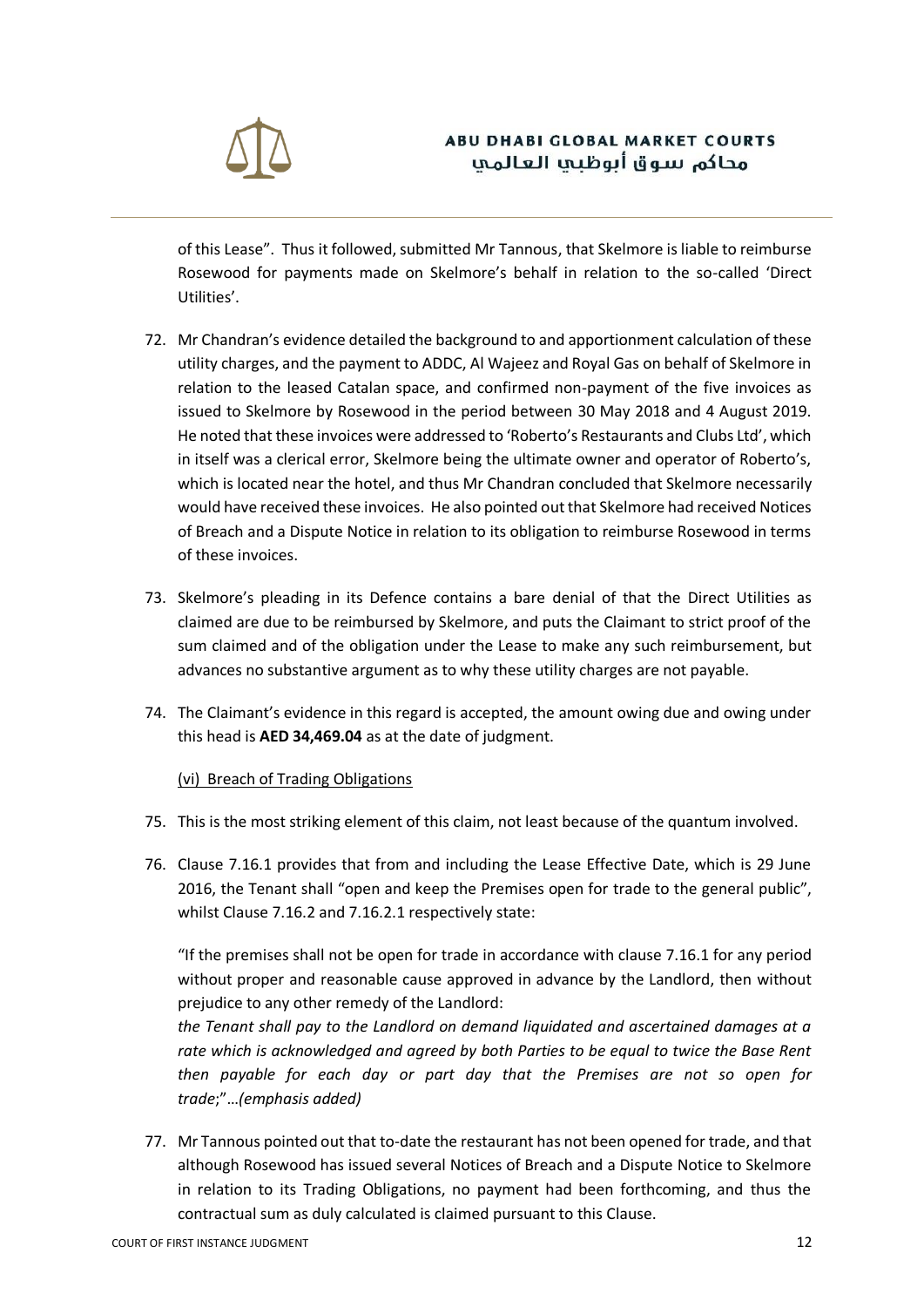

of this Lease". Thus it followed, submitted Mr Tannous, that Skelmore is liable to reimburse Rosewood for payments made on Skelmore's behalf in relation to the so-called 'Direct Utilities'.

- 72. Mr Chandran's evidence detailed the background to and apportionment calculation of these utility charges, and the payment to ADDC, Al Wajeez and Royal Gas on behalf of Skelmore in relation to the leased Catalan space, and confirmed non-payment of the five invoices as issued to Skelmore by Rosewood in the period between 30 May 2018 and 4 August 2019. He noted that these invoices were addressed to 'Roberto's Restaurants and Clubs Ltd', which in itself was a clerical error, Skelmore being the ultimate owner and operator of Roberto's, which is located near the hotel, and thus Mr Chandran concluded that Skelmore necessarily would have received these invoices. He also pointed out that Skelmore had received Notices of Breach and a Dispute Notice in relation to its obligation to reimburse Rosewood in terms of these invoices.
- 73. Skelmore's pleading in its Defence contains a bare denial of that the Direct Utilities as claimed are due to be reimbursed by Skelmore, and puts the Claimant to strict proof of the sum claimed and of the obligation under the Lease to make any such reimbursement, but advances no substantive argument as to why these utility charges are not payable.
- 74. The Claimant's evidence in this regard is accepted, the amount owing due and owing under this head is **AED 34,469.04** as at the date of judgment.

### (vi) Breach of Trading Obligations

- 75. This is the most striking element of this claim, not least because of the quantum involved.
- 76. Clause 7.16.1 provides that from and including the Lease Effective Date, which is 29 June 2016, the Tenant shall "open and keep the Premises open for trade to the general public", whilst Clause 7.16.2 and 7.16.2.1 respectively state:

"If the premises shall not be open for trade in accordance with clause 7.16.1 for any period without proper and reasonable cause approved in advance by the Landlord, then without prejudice to any other remedy of the Landlord:

*the Tenant shall pay to the Landlord on demand liquidated and ascertained damages at a rate which is acknowledged and agreed by both Parties to be equal to twice the Base Rent then payable for each day or part day that the Premises are not so open for trade*;"…*(emphasis added)*

77. Mr Tannous pointed out that to-date the restaurant has not been opened for trade, and that although Rosewood has issued several Notices of Breach and a Dispute Notice to Skelmore in relation to its Trading Obligations, no payment had been forthcoming, and thus the contractual sum as duly calculated is claimed pursuant to this Clause.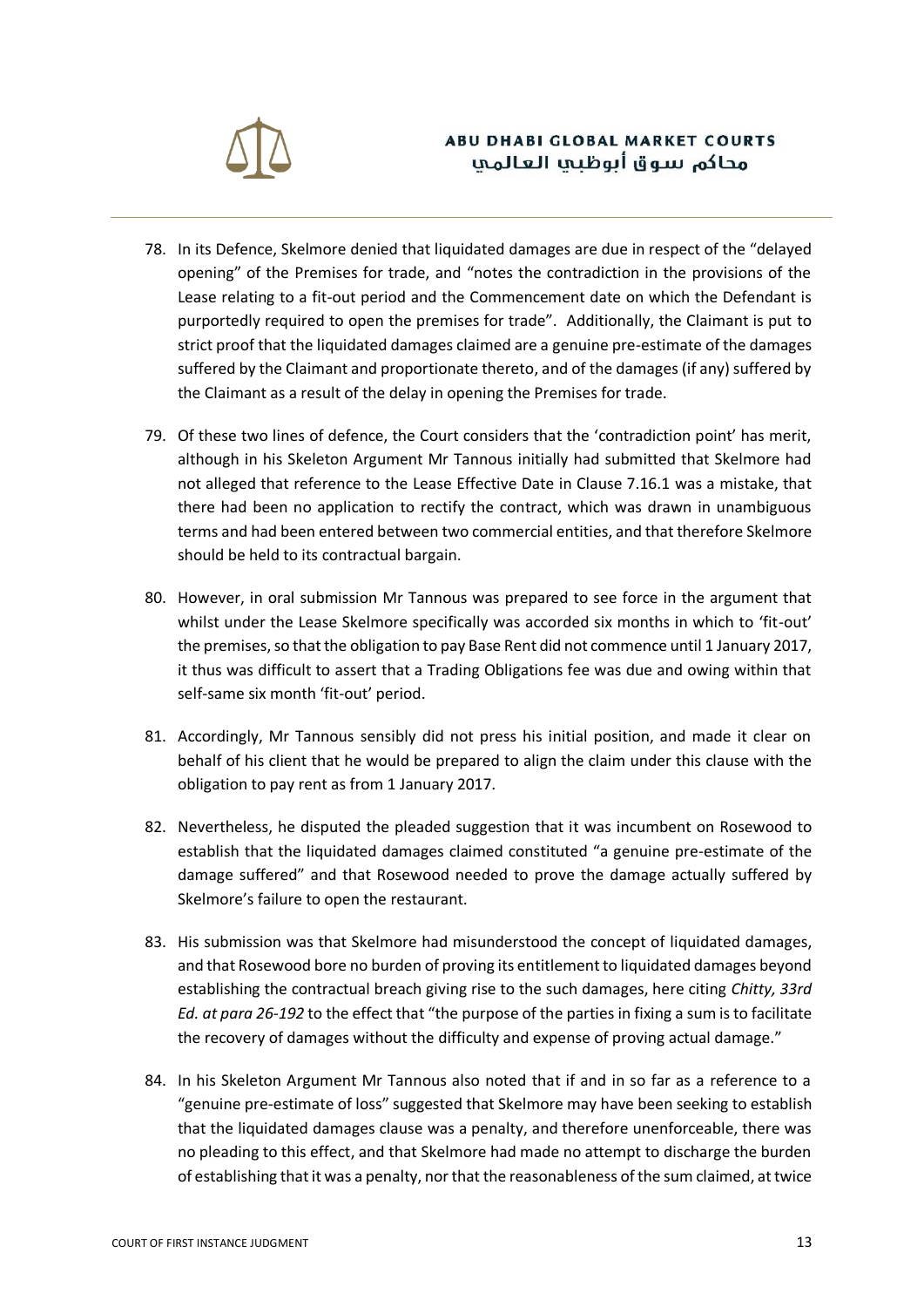

- 78. In its Defence, Skelmore denied that liquidated damages are due in respect of the "delayed opening" of the Premises for trade, and "notes the contradiction in the provisions of the Lease relating to a fit-out period and the Commencement date on which the Defendant is purportedly required to open the premises for trade". Additionally, the Claimant is put to strict proof that the liquidated damages claimed are a genuine pre-estimate of the damages suffered by the Claimant and proportionate thereto, and of the damages (if any) suffered by the Claimant as a result of the delay in opening the Premises for trade.
- 79. Of these two lines of defence, the Court considers that the 'contradiction point' has merit, although in his Skeleton Argument Mr Tannous initially had submitted that Skelmore had not alleged that reference to the Lease Effective Date in Clause 7.16.1 was a mistake, that there had been no application to rectify the contract, which was drawn in unambiguous terms and had been entered between two commercial entities, and that therefore Skelmore should be held to its contractual bargain.
- 80. However, in oral submission Mr Tannous was prepared to see force in the argument that whilst under the Lease Skelmore specifically was accorded six months in which to 'fit-out' the premises, so that the obligation to pay Base Rent did not commence until 1 January 2017, it thus was difficult to assert that a Trading Obligations fee was due and owing within that self-same six month 'fit-out' period.
- 81. Accordingly, Mr Tannous sensibly did not press his initial position, and made it clear on behalf of his client that he would be prepared to align the claim under this clause with the obligation to pay rent as from 1 January 2017.
- 82. Nevertheless, he disputed the pleaded suggestion that it was incumbent on Rosewood to establish that the liquidated damages claimed constituted "a genuine pre-estimate of the damage suffered" and that Rosewood needed to prove the damage actually suffered by Skelmore's failure to open the restaurant.
- 83. His submission was that Skelmore had misunderstood the concept of liquidated damages, and that Rosewood bore no burden of proving its entitlement to liquidated damages beyond establishing the contractual breach giving rise to the such damages, here citing *Chitty, 33rd Ed. at para 26-192* to the effect that "the purpose of the parties in fixing a sum is to facilitate the recovery of damages without the difficulty and expense of proving actual damage."
- 84. In his Skeleton Argument Mr Tannous also noted that if and in so far as a reference to a "genuine pre-estimate of loss" suggested that Skelmore may have been seeking to establish that the liquidated damages clause was a penalty, and therefore unenforceable, there was no pleading to this effect, and that Skelmore had made no attempt to discharge the burden of establishing that it was a penalty, nor that the reasonableness of the sum claimed, at twice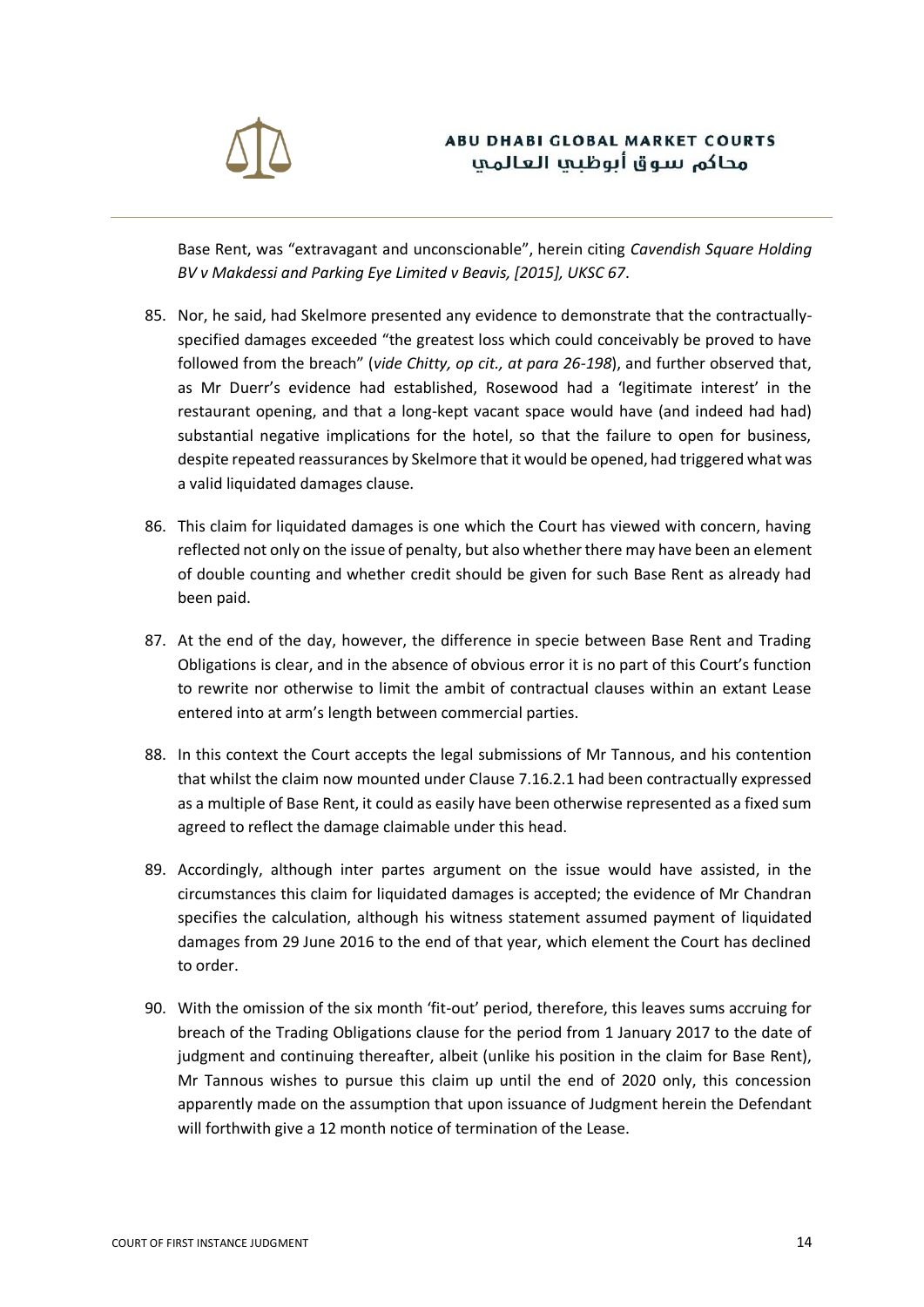

Base Rent, was "extravagant and unconscionable", herein citing *Cavendish Square Holding BV v Makdessi and Parking Eye Limited v Beavis, [2015], UKSC 67*.

- 85. Nor, he said, had Skelmore presented any evidence to demonstrate that the contractuallyspecified damages exceeded "the greatest loss which could conceivably be proved to have followed from the breach" (*vide Chitty, op cit., at para 26-198*), and further observed that, as Mr Duerr's evidence had established, Rosewood had a 'legitimate interest' in the restaurant opening, and that a long-kept vacant space would have (and indeed had had) substantial negative implications for the hotel, so that the failure to open for business, despite repeated reassurances by Skelmore that it would be opened, had triggered what was a valid liquidated damages clause.
- 86. This claim for liquidated damages is one which the Court has viewed with concern, having reflected not only on the issue of penalty, but also whether there may have been an element of double counting and whether credit should be given for such Base Rent as already had been paid.
- 87. At the end of the day, however, the difference in specie between Base Rent and Trading Obligations is clear, and in the absence of obvious error it is no part of this Court's function to rewrite nor otherwise to limit the ambit of contractual clauses within an extant Lease entered into at arm's length between commercial parties.
- 88. In this context the Court accepts the legal submissions of Mr Tannous, and his contention that whilst the claim now mounted under Clause 7.16.2.1 had been contractually expressed as a multiple of Base Rent, it could as easily have been otherwise represented as a fixed sum agreed to reflect the damage claimable under this head.
- 89. Accordingly, although inter partes argument on the issue would have assisted, in the circumstances this claim for liquidated damages is accepted; the evidence of Mr Chandran specifies the calculation, although his witness statement assumed payment of liquidated damages from 29 June 2016 to the end of that year, which element the Court has declined to order.
- 90. With the omission of the six month 'fit-out' period, therefore, this leaves sums accruing for breach of the Trading Obligations clause for the period from 1 January 2017 to the date of judgment and continuing thereafter, albeit (unlike his position in the claim for Base Rent), Mr Tannous wishes to pursue this claim up until the end of 2020 only, this concession apparently made on the assumption that upon issuance of Judgment herein the Defendant will forthwith give a 12 month notice of termination of the Lease.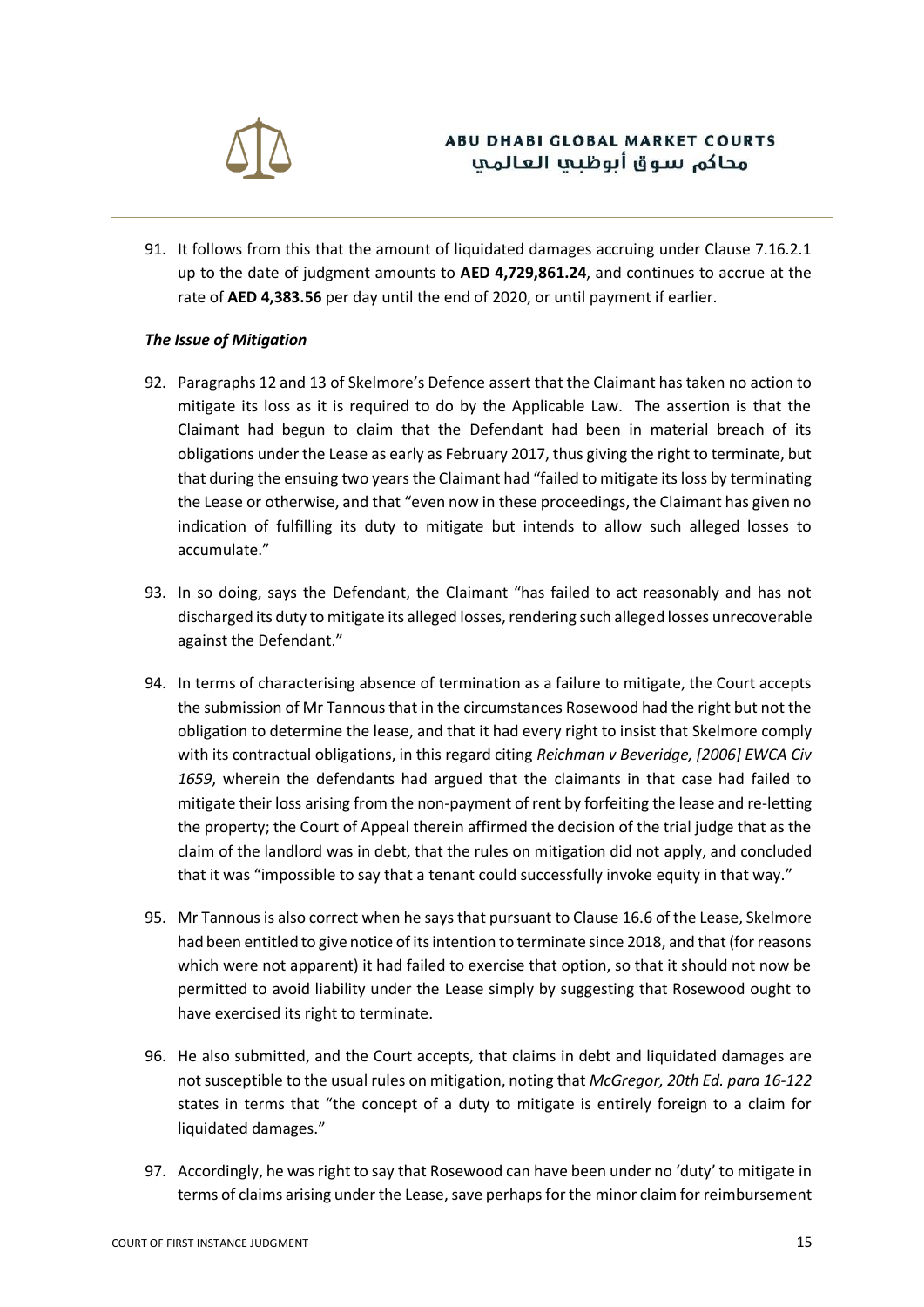

91. It follows from this that the amount of liquidated damages accruing under Clause 7.16.2.1 up to the date of judgment amounts to **AED 4,729,861.24**, and continues to accrue at the rate of **AED 4,383.56** per day until the end of 2020, or until payment if earlier.

#### *The Issue of Mitigation*

- 92. Paragraphs 12 and 13 of Skelmore's Defence assert that the Claimant has taken no action to mitigate its loss as it is required to do by the Applicable Law. The assertion is that the Claimant had begun to claim that the Defendant had been in material breach of its obligations under the Lease as early as February 2017, thus giving the right to terminate, but that during the ensuing two years the Claimant had "failed to mitigate its loss by terminating the Lease or otherwise, and that "even now in these proceedings, the Claimant has given no indication of fulfilling its duty to mitigate but intends to allow such alleged losses to accumulate."
- 93. In so doing, says the Defendant, the Claimant "has failed to act reasonably and has not discharged its duty to mitigate its alleged losses, rendering such alleged losses unrecoverable against the Defendant."
- 94. In terms of characterising absence of termination as a failure to mitigate, the Court accepts the submission of Mr Tannous that in the circumstances Rosewood had the right but not the obligation to determine the lease, and that it had every right to insist that Skelmore comply with its contractual obligations, in this regard citing *Reichman v Beveridge, [2006] EWCA Civ 1659*, wherein the defendants had argued that the claimants in that case had failed to mitigate their loss arising from the non-payment of rent by forfeiting the lease and re-letting the property; the Court of Appeal therein affirmed the decision of the trial judge that as the claim of the landlord was in debt, that the rules on mitigation did not apply, and concluded that it was "impossible to say that a tenant could successfully invoke equity in that way."
- 95. Mr Tannous is also correct when he says that pursuant to Clause 16.6 of the Lease, Skelmore had been entitled to give notice of its intention to terminate since 2018, and that (for reasons which were not apparent) it had failed to exercise that option, so that it should not now be permitted to avoid liability under the Lease simply by suggesting that Rosewood ought to have exercised its right to terminate.
- 96. He also submitted, and the Court accepts, that claims in debt and liquidated damages are not susceptible to the usual rules on mitigation, noting that *McGregor, 20th Ed. para 16-122* states in terms that "the concept of a duty to mitigate is entirely foreign to a claim for liquidated damages."
- 97. Accordingly, he was right to say that Rosewood can have been under no 'duty' to mitigate in terms of claims arising under the Lease, save perhaps for the minor claim for reimbursement